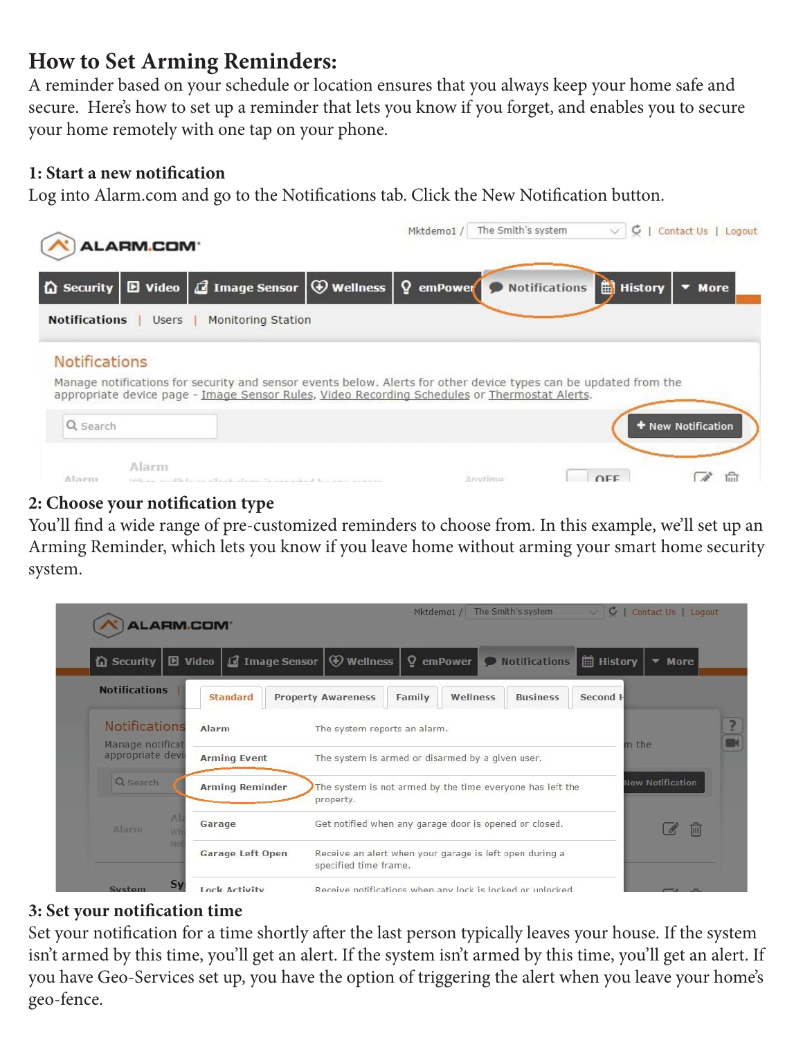# **How to Set Arming Reminders:**

A reminder based on your schedule or location ensures that you always keep your home safe and secure. Here's how to set up a reminder that lets you know if you forget, and enables you to secure your home remotely with one tap on your phone.

#### **1: Start a new notification**

Log into Alarm.com and go to the Notifications tab. Click the New Notification button.



## **2: Choose your notification type**

You'll find a wide range of pre-customized reminders to choose from. In this example, we'll set up an Arming Reminder, which lets you know if you leave home without arming your smart home security system.

| ALARM.COM <sup>®</sup>               |                                                    | Mktdemo1 / The Smith's system                                                         | C   Contact Us   Logout |  |  |  |  |
|--------------------------------------|----------------------------------------------------|---------------------------------------------------------------------------------------|-------------------------|--|--|--|--|
| <b>The Security</b>                  | <b>D</b> Video $\Box$ Image Sensor $\Box$ Wellness | $\Omega$ emPower $\Omega$ Notifications<br><b>■ History</b>                           | ▼ More                  |  |  |  |  |
| <b>Notifications</b>                 | <b>Standard</b>                                    | <b>Property Awareness</b><br>Wellness<br>Family<br><b>Business</b><br>Second <b>F</b> |                         |  |  |  |  |
| Notifications                        | Alarm                                              | The system reports an alarm.                                                          |                         |  |  |  |  |
| Manage notificat<br>appropriate devi | <b>Arming Event</b>                                | m the                                                                                 |                         |  |  |  |  |
| Q search                             | <b>Arming Reminder</b>                             | The system is not armed by the time everyone has left the<br>property.                | New Notification        |  |  |  |  |
| Al<br>Alarm<br>WF                    | Garage                                             | Get notified when any garage door is opened or closed.                                |                         |  |  |  |  |
| No                                   | Garage Left Open                                   | Receive an alert when your garage is left open during a<br>specified time frame.      |                         |  |  |  |  |
| $S_1$<br>System                      | <b>Lock Activity</b>                               | Receive notifications when any lock is locked or unlocked                             |                         |  |  |  |  |

## **3: Set your notification time**

Set your notification for a time shortly after the last person typically leaves your house. If the system isn't armed by this time, you'll get an alert. If the system isn't armed by this time, you'll get an alert. If you have Geo-Services set up, you have the option of triggering the alert when you leave your home's geo-fence.